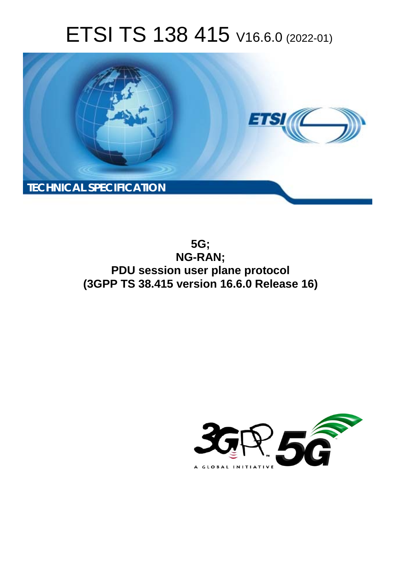# ETSI TS 138 415 V16.6.0 (2022-01)



**5G; NG-RAN; PDU session user plane protocol (3GPP TS 38.415 version 16.6.0 Release 16)** 

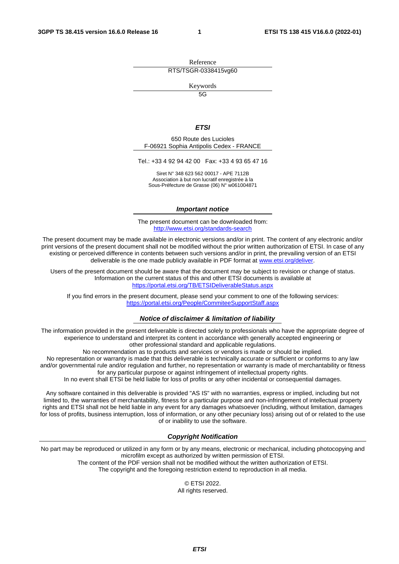Reference RTS/TSGR-0338415vg60

Keywords

 $\overline{5G}$ 

#### *ETSI*

650 Route des Lucioles F-06921 Sophia Antipolis Cedex - FRANCE

Tel.: +33 4 92 94 42 00 Fax: +33 4 93 65 47 16

Siret N° 348 623 562 00017 - APE 7112B Association à but non lucratif enregistrée à la Sous-Préfecture de Grasse (06) N° w061004871

#### *Important notice*

The present document can be downloaded from: <http://www.etsi.org/standards-search>

The present document may be made available in electronic versions and/or in print. The content of any electronic and/or print versions of the present document shall not be modified without the prior written authorization of ETSI. In case of any existing or perceived difference in contents between such versions and/or in print, the prevailing version of an ETSI deliverable is the one made publicly available in PDF format at [www.etsi.org/deliver](http://www.etsi.org/deliver).

Users of the present document should be aware that the document may be subject to revision or change of status. Information on the current status of this and other ETSI documents is available at <https://portal.etsi.org/TB/ETSIDeliverableStatus.aspx>

If you find errors in the present document, please send your comment to one of the following services: <https://portal.etsi.org/People/CommiteeSupportStaff.aspx>

#### *Notice of disclaimer & limitation of liability*

The information provided in the present deliverable is directed solely to professionals who have the appropriate degree of experience to understand and interpret its content in accordance with generally accepted engineering or other professional standard and applicable regulations.

No recommendation as to products and services or vendors is made or should be implied.

No representation or warranty is made that this deliverable is technically accurate or sufficient or conforms to any law and/or governmental rule and/or regulation and further, no representation or warranty is made of merchantability or fitness for any particular purpose or against infringement of intellectual property rights.

In no event shall ETSI be held liable for loss of profits or any other incidental or consequential damages.

Any software contained in this deliverable is provided "AS IS" with no warranties, express or implied, including but not limited to, the warranties of merchantability, fitness for a particular purpose and non-infringement of intellectual property rights and ETSI shall not be held liable in any event for any damages whatsoever (including, without limitation, damages for loss of profits, business interruption, loss of information, or any other pecuniary loss) arising out of or related to the use of or inability to use the software.

#### *Copyright Notification*

No part may be reproduced or utilized in any form or by any means, electronic or mechanical, including photocopying and microfilm except as authorized by written permission of ETSI. The content of the PDF version shall not be modified without the written authorization of ETSI.

The copyright and the foregoing restriction extend to reproduction in all media.

© ETSI 2022. All rights reserved.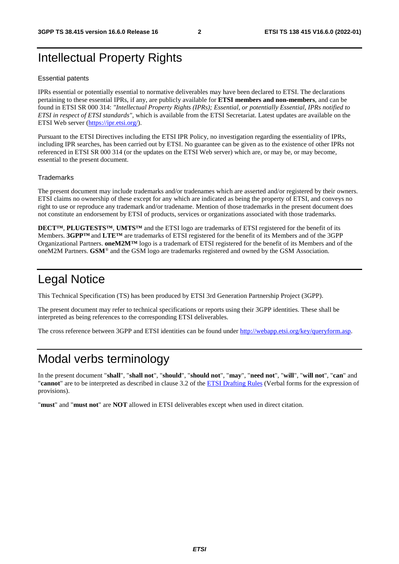## Intellectual Property Rights

#### Essential patents

IPRs essential or potentially essential to normative deliverables may have been declared to ETSI. The declarations pertaining to these essential IPRs, if any, are publicly available for **ETSI members and non-members**, and can be found in ETSI SR 000 314: *"Intellectual Property Rights (IPRs); Essential, or potentially Essential, IPRs notified to ETSI in respect of ETSI standards"*, which is available from the ETSI Secretariat. Latest updates are available on the ETSI Web server ([https://ipr.etsi.org/\)](https://ipr.etsi.org/).

Pursuant to the ETSI Directives including the ETSI IPR Policy, no investigation regarding the essentiality of IPRs, including IPR searches, has been carried out by ETSI. No guarantee can be given as to the existence of other IPRs not referenced in ETSI SR 000 314 (or the updates on the ETSI Web server) which are, or may be, or may become, essential to the present document.

#### **Trademarks**

The present document may include trademarks and/or tradenames which are asserted and/or registered by their owners. ETSI claims no ownership of these except for any which are indicated as being the property of ETSI, and conveys no right to use or reproduce any trademark and/or tradename. Mention of those trademarks in the present document does not constitute an endorsement by ETSI of products, services or organizations associated with those trademarks.

**DECT™**, **PLUGTESTS™**, **UMTS™** and the ETSI logo are trademarks of ETSI registered for the benefit of its Members. **3GPP™** and **LTE™** are trademarks of ETSI registered for the benefit of its Members and of the 3GPP Organizational Partners. **oneM2M™** logo is a trademark of ETSI registered for the benefit of its Members and of the oneM2M Partners. **GSM**® and the GSM logo are trademarks registered and owned by the GSM Association.

## Legal Notice

This Technical Specification (TS) has been produced by ETSI 3rd Generation Partnership Project (3GPP).

The present document may refer to technical specifications or reports using their 3GPP identities. These shall be interpreted as being references to the corresponding ETSI deliverables.

The cross reference between 3GPP and ETSI identities can be found under<http://webapp.etsi.org/key/queryform.asp>.

## Modal verbs terminology

In the present document "**shall**", "**shall not**", "**should**", "**should not**", "**may**", "**need not**", "**will**", "**will not**", "**can**" and "**cannot**" are to be interpreted as described in clause 3.2 of the [ETSI Drafting Rules](https://portal.etsi.org/Services/editHelp!/Howtostart/ETSIDraftingRules.aspx) (Verbal forms for the expression of provisions).

"**must**" and "**must not**" are **NOT** allowed in ETSI deliverables except when used in direct citation.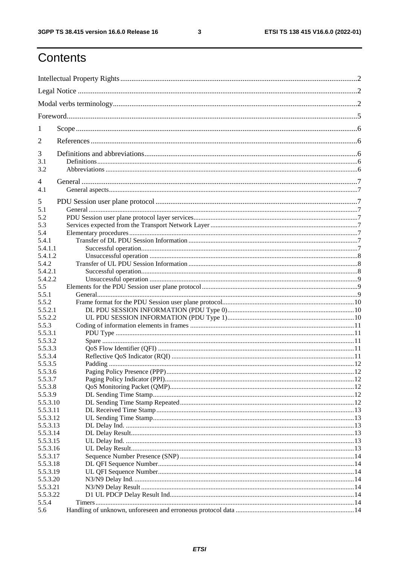$\mathbf{3}$ 

## Contents

| 1                    |    |  |  |  |  |  |  |  |  |  |
|----------------------|----|--|--|--|--|--|--|--|--|--|
| 2                    |    |  |  |  |  |  |  |  |  |  |
| 3                    |    |  |  |  |  |  |  |  |  |  |
| 3.1                  |    |  |  |  |  |  |  |  |  |  |
| 3.2                  |    |  |  |  |  |  |  |  |  |  |
| 4                    |    |  |  |  |  |  |  |  |  |  |
| 4.1                  |    |  |  |  |  |  |  |  |  |  |
| 5                    |    |  |  |  |  |  |  |  |  |  |
| 5.1                  |    |  |  |  |  |  |  |  |  |  |
| 5.2                  |    |  |  |  |  |  |  |  |  |  |
| 5.3                  |    |  |  |  |  |  |  |  |  |  |
| 5.4                  |    |  |  |  |  |  |  |  |  |  |
| 5.4.1                |    |  |  |  |  |  |  |  |  |  |
| 5.4.1.1<br>5.4.1.2   |    |  |  |  |  |  |  |  |  |  |
| 5.4.2                |    |  |  |  |  |  |  |  |  |  |
| 5.4.2.1              |    |  |  |  |  |  |  |  |  |  |
| 5.4.2.2              |    |  |  |  |  |  |  |  |  |  |
| 5.5                  |    |  |  |  |  |  |  |  |  |  |
| 5.5.1                |    |  |  |  |  |  |  |  |  |  |
| 5.5.2                |    |  |  |  |  |  |  |  |  |  |
| 5.5.2.1              |    |  |  |  |  |  |  |  |  |  |
| 5.5.2.2              |    |  |  |  |  |  |  |  |  |  |
| 5.5.3                |    |  |  |  |  |  |  |  |  |  |
| 5.5.3.1              |    |  |  |  |  |  |  |  |  |  |
| 5.5.3.2<br>5.5.3.3   |    |  |  |  |  |  |  |  |  |  |
| 5.5.3.4              |    |  |  |  |  |  |  |  |  |  |
| 5.5.3.5              |    |  |  |  |  |  |  |  |  |  |
| 5.5.3.6              | 12 |  |  |  |  |  |  |  |  |  |
| 5.5.3.7              |    |  |  |  |  |  |  |  |  |  |
| 5.5.3.8              |    |  |  |  |  |  |  |  |  |  |
| 5.5.3.9              |    |  |  |  |  |  |  |  |  |  |
| 5.5.3.10             |    |  |  |  |  |  |  |  |  |  |
| 5.5.3.11             |    |  |  |  |  |  |  |  |  |  |
| 5.5.3.12             |    |  |  |  |  |  |  |  |  |  |
| 5.5.3.13             |    |  |  |  |  |  |  |  |  |  |
| 5.5.3.14             |    |  |  |  |  |  |  |  |  |  |
| 5.5.3.15             |    |  |  |  |  |  |  |  |  |  |
| 5.5.3.16<br>5.5.3.17 |    |  |  |  |  |  |  |  |  |  |
| 5.5.3.18             |    |  |  |  |  |  |  |  |  |  |
| 5.5.3.19             |    |  |  |  |  |  |  |  |  |  |
| 5.5.3.20             |    |  |  |  |  |  |  |  |  |  |
| 5.5.3.21             |    |  |  |  |  |  |  |  |  |  |
| 5.5.3.22             |    |  |  |  |  |  |  |  |  |  |
| 5.5.4                |    |  |  |  |  |  |  |  |  |  |
| 5.6                  |    |  |  |  |  |  |  |  |  |  |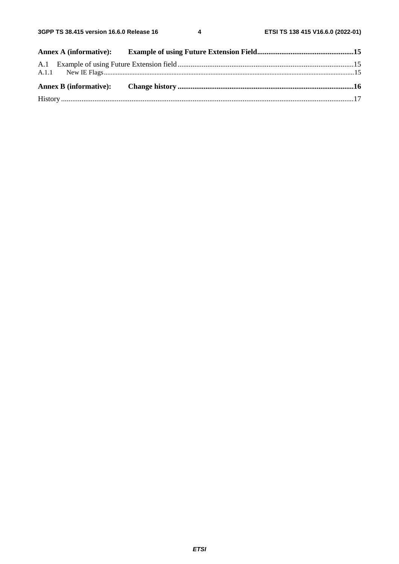$\overline{\mathbf{4}}$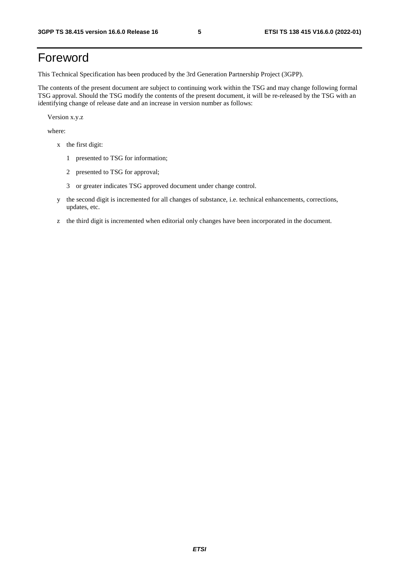## Foreword

This Technical Specification has been produced by the 3rd Generation Partnership Project (3GPP).

The contents of the present document are subject to continuing work within the TSG and may change following formal TSG approval. Should the TSG modify the contents of the present document, it will be re-released by the TSG with an identifying change of release date and an increase in version number as follows:

Version x.y.z

where:

- x the first digit:
	- 1 presented to TSG for information;
	- 2 presented to TSG for approval;
	- 3 or greater indicates TSG approved document under change control.
- y the second digit is incremented for all changes of substance, i.e. technical enhancements, corrections, updates, etc.
- z the third digit is incremented when editorial only changes have been incorporated in the document.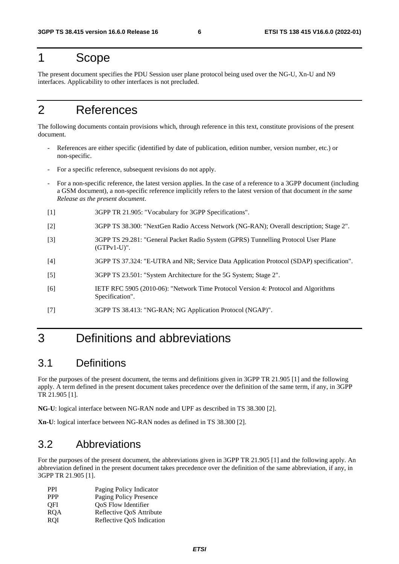## 1 Scope

The present document specifies the PDU Session user plane protocol being used over the NG-U, Xn-U and N9 interfaces. Applicability to other interfaces is not precluded.

## 2 References

The following documents contain provisions which, through reference in this text, constitute provisions of the present document.

- References are either specific (identified by date of publication, edition number, version number, etc.) or non-specific.
- For a specific reference, subsequent revisions do not apply.
- For a non-specific reference, the latest version applies. In the case of a reference to a 3GPP document (including a GSM document), a non-specific reference implicitly refers to the latest version of that document *in the same Release as the present document*.
- [1] 3GPP TR 21.905: "Vocabulary for 3GPP Specifications".
- [2] 3GPP TS 38.300: "NextGen Radio Access Network (NG-RAN); Overall description; Stage 2".
- [3] 3GPP TS 29.281: "General Packet Radio System (GPRS) Tunnelling Protocol User Plane (GTPv1-U)".
- [4] 3GPP TS 37.324: "E-UTRA and NR; Service Data Application Protocol (SDAP) specification".
- [5] 3GPP TS 23.501: "System Architecture for the 5G System; Stage 2".
- [6] IETF RFC 5905 (2010-06): "Network Time Protocol Version 4: Protocol and Algorithms Specification".
- [7] 3GPP TS 38.413: "NG-RAN; NG Application Protocol (NGAP)".

## 3 Definitions and abbreviations

## 3.1 Definitions

For the purposes of the present document, the terms and definitions given in 3GPP TR 21.905 [1] and the following apply. A term defined in the present document takes precedence over the definition of the same term, if any, in 3GPP TR 21.905 [1].

**NG-U**: logical interface between NG-RAN node and UPF as described in TS 38.300 [2].

**Xn-U**: logical interface between NG-RAN nodes as defined in TS 38.300 [2].

## 3.2 Abbreviations

For the purposes of the present document, the abbreviations given in 3GPP TR 21.905 [1] and the following apply. An abbreviation defined in the present document takes precedence over the definition of the same abbreviation, if any, in 3GPP TR 21.905 [1].

| <b>PPI</b> | Paging Policy Indicator   |
|------------|---------------------------|
| <b>PPP</b> | Paging Policy Presence    |
| <b>OFI</b> | OoS Flow Identifier       |
| <b>ROA</b> | Reflective QoS Attribute  |
| <b>ROI</b> | Reflective QoS Indication |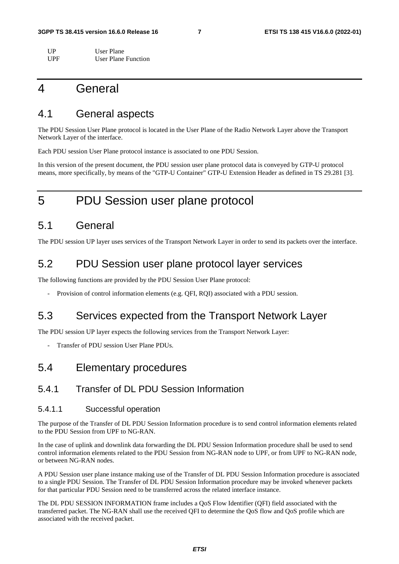| $_{\rm IIP}$ | User Plane          |
|--------------|---------------------|
| UPF          | User Plane Function |

## 4 General

## 4.1 General aspects

The PDU Session User Plane protocol is located in the User Plane of the Radio Network Layer above the Transport Network Layer of the interface.

Each PDU session User Plane protocol instance is associated to one PDU Session.

In this version of the present document, the PDU session user plane protocol data is conveyed by GTP-U protocol means, more specifically, by means of the "GTP-U Container" GTP-U Extension Header as defined in TS 29.281 [3].

## 5 PDU Session user plane protocol

## 5.1 General

The PDU session UP layer uses services of the Transport Network Layer in order to send its packets over the interface.

## 5.2 PDU Session user plane protocol layer services

The following functions are provided by the PDU Session User Plane protocol:

Provision of control information elements (e.g. QFI, RQI) associated with a PDU session.

## 5.3 Services expected from the Transport Network Layer

The PDU session UP layer expects the following services from the Transport Network Layer:

Transfer of PDU session User Plane PDUs.

## 5.4 Elementary procedures

## 5.4.1 Transfer of DL PDU Session Information

### 5.4.1.1 Successful operation

The purpose of the Transfer of DL PDU Session Information procedure is to send control information elements related to the PDU Session from UPF to NG-RAN.

In the case of uplink and downlink data forwarding the DL PDU Session Information procedure shall be used to send control information elements related to the PDU Session from NG-RAN node to UPF, or from UPF to NG-RAN node, or between NG-RAN nodes.

A PDU Session user plane instance making use of the Transfer of DL PDU Session Information procedure is associated to a single PDU Session. The Transfer of DL PDU Session Information procedure may be invoked whenever packets for that particular PDU Session need to be transferred across the related interface instance.

The DL PDU SESSION INFORMATION frame includes a QoS Flow Identifier (QFI) field associated with the transferred packet. The NG-RAN shall use the received QFI to determine the QoS flow and QoS profile which are associated with the received packet.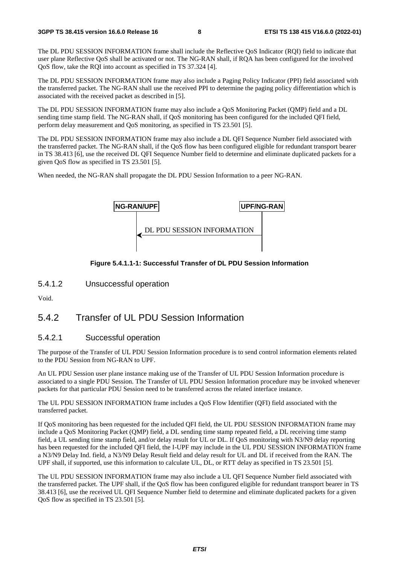The DL PDU SESSION INFORMATION frame shall include the Reflective QoS Indicator (RQI) field to indicate that user plane Reflective QoS shall be activated or not. The NG-RAN shall, if RQA has been configured for the involved QoS flow, take the RQI into account as specified in TS 37.324 [4].

The DL PDU SESSION INFORMATION frame may also include a Paging Policy Indicator (PPI) field associated with the transferred packet. The NG-RAN shall use the received PPI to determine the paging policy differentiation which is associated with the received packet as described in [5].

The DL PDU SESSION INFORMATION frame may also include a QoS Monitoring Packet (QMP) field and a DL sending time stamp field. The NG-RAN shall, if QoS monitoring has been configured for the included QFI field, perform delay measurement and QoS monitoring, as specified in TS 23.501 [5].

The DL PDU SESSION INFORMATION frame may also include a DL QFI Sequence Number field associated with the transferred packet. The NG-RAN shall, if the QoS flow has been configured eligible for redundant transport bearer in TS 38.413 [6], use the received DL QFI Sequence Number field to determine and eliminate duplicated packets for a given QoS flow as specified in TS 23.501 [5].

When needed, the NG-RAN shall propagate the DL PDU Session Information to a peer NG-RAN.



#### **Figure 5.4.1.1-1: Successful Transfer of DL PDU Session Information**

5.4.1.2 Unsuccessful operation

Void.

## 5.4.2 Transfer of UL PDU Session Information

### 5.4.2.1 Successful operation

The purpose of the Transfer of UL PDU Session Information procedure is to send control information elements related to the PDU Session from NG-RAN to UPF.

An UL PDU Session user plane instance making use of the Transfer of UL PDU Session Information procedure is associated to a single PDU Session. The Transfer of UL PDU Session Information procedure may be invoked whenever packets for that particular PDU Session need to be transferred across the related interface instance.

The UL PDU SESSION INFORMATION frame includes a QoS Flow Identifier (QFI) field associated with the transferred packet.

If QoS monitoring has been requested for the included QFI field, the UL PDU SESSION INFORMATION frame may include a QoS Monitoring Packet (QMP) field, a DL sending time stamp repeated field, a DL receiving time stamp field, a UL sending time stamp field, and/or delay result for UL or DL. If QoS monitoring with N3/N9 delay reporting has been requested for the included QFI field, the I-UPF may include in the UL PDU SESSION INFORMATION frame a N3/N9 Delay Ind. field, a N3/N9 Delay Result field and delay result for UL and DL if received from the RAN. The UPF shall, if supported, use this information to calculate UL, DL, or RTT delay as specified in TS 23.501 [5].

The UL PDU SESSION INFORMATION frame may also include a UL QFI Sequence Number field associated with the transferred packet. The UPF shall, if the QoS flow has been configured eligible for redundant transport bearer in TS 38.413 [6], use the received UL QFI Sequence Number field to determine and eliminate duplicated packets for a given QoS flow as specified in TS 23.501 [5].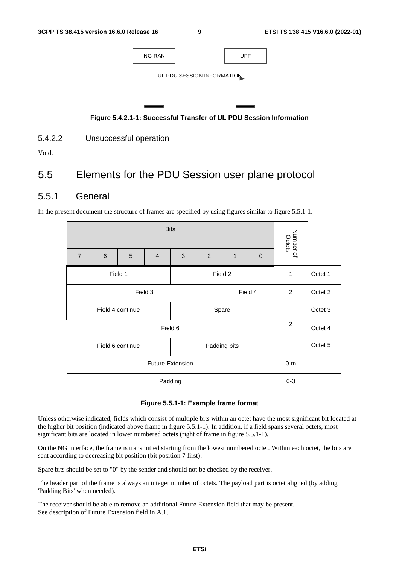

**Figure 5.4.2.1-1: Successful Transfer of UL PDU Session Information** 

5.4.2.2 Unsuccessful operation

Void.

## 5.5 Elements for the PDU Session user plane protocol

## 5.5.1 General

In the present document the structure of frames are specified by using figures similar to figure 5.5.1-1.

|                         |         | Number of<br>Octets |                |              |                |   |              |         |         |
|-------------------------|---------|---------------------|----------------|--------------|----------------|---|--------------|---------|---------|
| $\overline{7}$          | 6       | 5                   | $\overline{4}$ | 3            | $\overline{2}$ | 1 | $\mathbf{0}$ |         |         |
| Field 1<br>Field 2      |         |                     |                |              |                |   |              | 1       | Octet 1 |
| Field 3<br>Field 4      |         |                     |                |              |                |   |              | 2       | Octet 2 |
|                         |         | Field 4 continue    |                | Spare        |                |   |              |         | Octet 3 |
|                         | Field 6 |                     |                |              |                |   |              |         | Octet 4 |
|                         |         | Field 6 continue    |                | Padding bits |                |   |              | Octet 5 |         |
| <b>Future Extension</b> |         |                     |                |              |                |   |              | $0-m$   |         |
| Padding                 |         |                     |                |              |                |   |              | $0 - 3$ |         |

#### **Figure 5.5.1-1: Example frame format**

Unless otherwise indicated, fields which consist of multiple bits within an octet have the most significant bit located at the higher bit position (indicated above frame in figure 5.5.1-1). In addition, if a field spans several octets, most significant bits are located in lower numbered octets (right of frame in figure 5.5.1-1).

On the NG interface, the frame is transmitted starting from the lowest numbered octet. Within each octet, the bits are sent according to decreasing bit position (bit position 7 first).

Spare bits should be set to "0" by the sender and should not be checked by the receiver.

The header part of the frame is always an integer number of octets. The payload part is octet aligned (by adding 'Padding Bits' when needed).

The receiver should be able to remove an additional Future Extension field that may be present. See description of Future Extension field in A.1.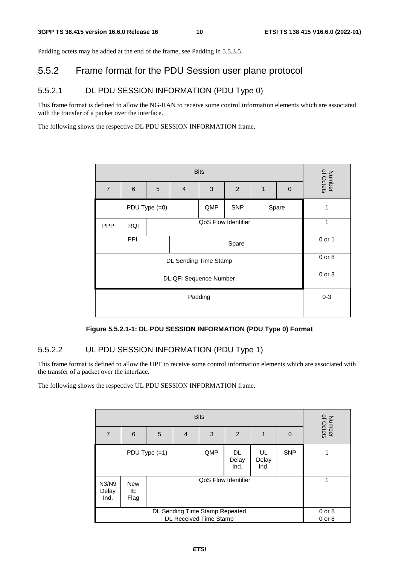Padding octets may be added at the end of the frame, see Padding in 5.5.3.5.

## 5.5.2 Frame format for the PDU Session user plane protocol

## 5.5.2.1 DL PDU SESSION INFORMATION (PDU Type 0)

This frame format is defined to allow the NG-RAN to receive some control information elements which are associated with the transfer of a packet over the interface.

The following shows the respective DL PDU SESSION INFORMATION frame.

| <b>Bits</b>            |                       |                 |                     |     |            |   |          |                     |
|------------------------|-----------------------|-----------------|---------------------|-----|------------|---|----------|---------------------|
| $\overline{7}$         | $6\phantom{1}6$       | 5               | $\overline{4}$      | 3   | 2          | 1 | $\Omega$ | Number<br>of Octets |
|                        |                       | PDU Type $(=0)$ |                     | QMP | <b>SNP</b> |   | Spare    | 1                   |
| <b>PPP</b>             | <b>RQI</b>            |                 | QoS Flow Identifier |     |            |   |          |                     |
|                        | PPI<br>Spare          |                 |                     |     |            |   |          | 0 or 1              |
|                        | DL Sending Time Stamp |                 |                     |     |            |   |          |                     |
| DL QFI Sequence Number |                       |                 |                     |     |            |   |          | 0 or 3              |
| Padding                |                       |                 |                     |     |            |   |          | $0 - 3$             |
|                        |                       |                 |                     |     |            |   |          |                     |

**Figure 5.5.2.1-1: DL PDU SESSION INFORMATION (PDU Type 0) Format** 

## 5.5.2.2 UL PDU SESSION INFORMATION (PDU Type 1)

This frame format is defined to allow the UPF to receive some control information elements which are associated with the transfer of a packet over the interface.

The following shows the respective UL PDU SESSION INFORMATION frame.

| 7                              | 6                                         | 5               | $\overline{4}$ | 3   | 2                    | 1                   | $\Omega$   | Number<br>of Octets |  |  |  |
|--------------------------------|-------------------------------------------|-----------------|----------------|-----|----------------------|---------------------|------------|---------------------|--|--|--|
|                                |                                           | PDU Type $(=1)$ |                | QMP | DL.<br>Delay<br>Ind. | UL<br>Delay<br>Ind. | <b>SNP</b> |                     |  |  |  |
| N3/N9<br>Delay<br>Ind.         | QoS Flow Identifier<br>New<br>IE.<br>Flag |                 |                |     |                      |                     |            |                     |  |  |  |
| DL Sending Time Stamp Repeated |                                           |                 |                |     |                      |                     |            | $0$ or $8$          |  |  |  |
| <b>DL Received Time Stamp</b>  |                                           |                 |                |     |                      |                     |            | $0$ or $8$          |  |  |  |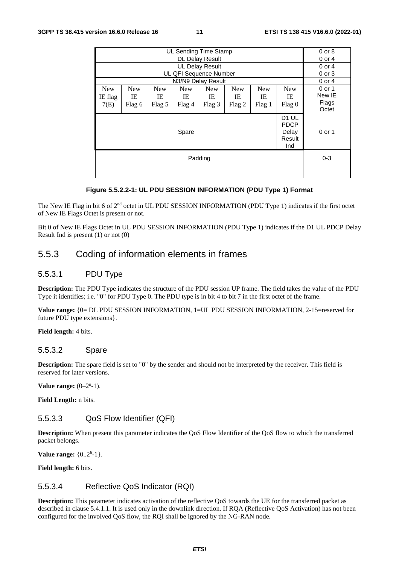|                               |                                                                                                                                                                                                                                      |  |  | UL Sending Time Stamp  |  |  |  | $0$ or $8$ |  |
|-------------------------------|--------------------------------------------------------------------------------------------------------------------------------------------------------------------------------------------------------------------------------------|--|--|------------------------|--|--|--|------------|--|
|                               | $0$ or $4$                                                                                                                                                                                                                           |  |  |                        |  |  |  |            |  |
|                               |                                                                                                                                                                                                                                      |  |  | <b>UL Delay Result</b> |  |  |  | $0$ or $4$ |  |
|                               |                                                                                                                                                                                                                                      |  |  | UL QFI Sequence Number |  |  |  | 0 or 3     |  |
|                               |                                                                                                                                                                                                                                      |  |  | N3/N9 Delay Result     |  |  |  | $0$ or $4$ |  |
| <b>New</b><br>IE flag<br>7(E) | <b>New</b><br><b>New</b><br><b>New</b><br><b>New</b><br><b>New</b><br><b>New</b><br><b>New</b><br>IE<br>IE<br>IE<br>IE<br>IE<br>IE<br>IE<br>Flag 5<br>Flag <sub>3</sub><br>Flag 1<br>Flag 0<br>Flag 4<br>Flag <sub>2</sub><br>Flag 6 |  |  |                        |  |  |  |            |  |
|                               | D <sub>1</sub> UL<br><b>PDCP</b><br>Delay<br>Spare<br>Result<br>Ind                                                                                                                                                                  |  |  |                        |  |  |  |            |  |
|                               | $0 - 3$                                                                                                                                                                                                                              |  |  |                        |  |  |  |            |  |
|                               |                                                                                                                                                                                                                                      |  |  |                        |  |  |  |            |  |

#### **Figure 5.5.2.2-1: UL PDU SESSION INFORMATION (PDU Type 1) Format**

The New IE Flag in bit 6 of 2<sup>nd</sup> octet in UL PDU SESSION INFORMATION (PDU Type 1) indicates if the first octet of New IE Flags Octet is present or not.

Bit 0 of New IE Flags Octet in UL PDU SESSION INFORMATION (PDU Type 1) indicates if the D1 UL PDCP Delay Result Ind is present (1) or not (0)

## 5.5.3 Coding of information elements in frames

### 5.5.3.1 PDU Type

**Description:** The PDU Type indicates the structure of the PDU session UP frame. The field takes the value of the PDU Type it identifies; i.e. "0" for PDU Type 0. The PDU type is in bit 4 to bit 7 in the first octet of the frame.

**Value range:** {0= DL PDU SESSION INFORMATION, 1=UL PDU SESSION INFORMATION, 2-15=reserved for future PDU type extensions}.

**Field length:** 4 bits.

#### 5.5.3.2 Spare

**Description:** The spare field is set to "0" by the sender and should not be interpreted by the receiver. This field is reserved for later versions.

**Value range:**  $(0-2^{n}-1)$ .

**Field Length:** n bits.

### 5.5.3.3 QoS Flow Identifier (QFI)

**Description:** When present this parameter indicates the QoS Flow Identifier of the QoS flow to which the transferred packet belongs.

**Value range:** {0..2<sup>6</sup>-1}.

**Field length:** 6 bits.

### 5.5.3.4 Reflective QoS Indicator (RQI)

**Description:** This parameter indicates activation of the reflective QoS towards the UE for the transferred packet as described in clause 5.4.1.1. It is used only in the downlink direction. If RQA (Reflective QoS Activation) has not been configured for the involved QoS flow, the RQI shall be ignored by the NG-RAN node.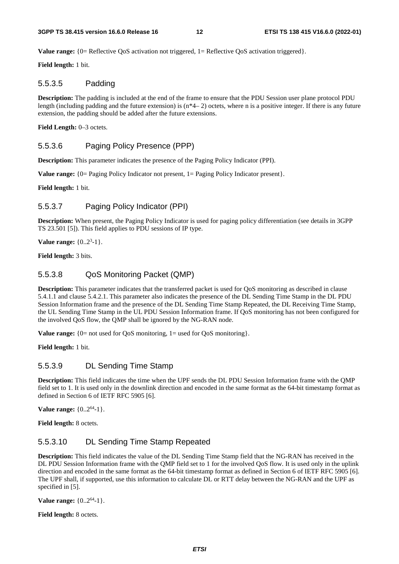**Value range:** {0= Reflective QoS activation not triggered, 1= Reflective QoS activation triggered}.

**Field length:** 1 bit.

### 5.5.3.5 Padding

**Description:** The padding is included at the end of the frame to ensure that the PDU Session user plane protocol PDU length (including padding and the future extension) is (n\*4– 2) octets, where n is a positive integer. If there is any future extension, the padding should be added after the future extensions.

Field Length: 0-3 octets.

### 5.5.3.6 Paging Policy Presence (PPP)

**Description:** This parameter indicates the presence of the Paging Policy Indicator (PPI).

**Value range:**  ${0 =$  Paging Policy Indicator not present,  $1 =$  Paging Policy Indicator present}.

**Field length:** 1 bit.

### 5.5.3.7 Paging Policy Indicator (PPI)

**Description:** When present, the Paging Policy Indicator is used for paging policy differentiation (see details in 3GPP TS 23.501 [5]). This field applies to PDU sessions of IP type.

**Value range:** {0..2<sup>3</sup>-1}.

**Field length:** 3 bits.

### 5.5.3.8 QoS Monitoring Packet (QMP)

**Description:** This parameter indicates that the transferred packet is used for QoS monitoring as described in clause 5.4.1.1 and clause 5.4.2.1. This parameter also indicates the presence of the DL Sending Time Stamp in the DL PDU Session Information frame and the presence of the DL Sending Time Stamp Repeated, the DL Receiving Time Stamp, the UL Sending Time Stamp in the UL PDU Session Information frame. If QoS monitoring has not been configured for the involved QoS flow, the QMP shall be ignored by the NG-RAN node.

**Value range:**  ${0 = not used for QoS monitoring, 1 = used for QoS monitoring}.$ 

**Field length:** 1 bit.

## 5.5.3.9 DL Sending Time Stamp

**Description:** This field indicates the time when the UPF sends the DL PDU Session Information frame with the QMP field set to 1. It is used only in the downlink direction and encoded in the same format as the 64-bit timestamp format as defined in Section 6 of IETF RFC 5905 [6].

**Value range:**  $\{0..2^{64}-1\}$ .

**Field length:** 8 octets.

## 5.5.3.10 DL Sending Time Stamp Repeated

**Description:** This field indicates the value of the DL Sending Time Stamp field that the NG-RAN has received in the DL PDU Session Information frame with the QMP field set to 1 for the involved QoS flow. It is used only in the uplink direction and encoded in the same format as the 64-bit timestamp format as defined in Section 6 of IETF RFC 5905 [6]. The UPF shall, if supported, use this information to calculate DL or RTT delay between the NG-RAN and the UPF as specified in [5].

**Value range:**  $\{0..2^{64}-1\}$ .

**Field length:** 8 octets.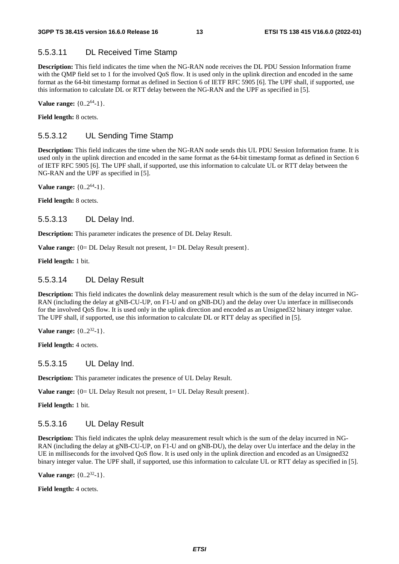## 5.5.3.11 DL Received Time Stamp

**Description:** This field indicates the time when the NG-RAN node receives the DL PDU Session Information frame with the QMP field set to 1 for the involved QoS flow. It is used only in the uplink direction and encoded in the same format as the 64-bit timestamp format as defined in Section 6 of IETF RFC 5905 [6]. The UPF shall, if supported, use this information to calculate DL or RTT delay between the NG-RAN and the UPF as specified in [5].

**Value range:**  $\{0..2^{64}-1\}$ .

**Field length:** 8 octets.

## 5.5.3.12 UL Sending Time Stamp

**Description:** This field indicates the time when the NG-RAN node sends this UL PDU Session Information frame. It is used only in the uplink direction and encoded in the same format as the 64-bit timestamp format as defined in Section 6 of IETF RFC 5905 [6]. The UPF shall, if supported, use this information to calculate UL or RTT delay between the NG-RAN and the UPF as specified in [5].

**Value range:**  $\{0..2^{64}-1\}$ .

**Field length:** 8 octets.

#### 5.5.3.13 DL Delay Ind.

**Description:** This parameter indicates the presence of DL Delay Result.

**Value range:**  ${0 = DL \tDelta W}$  Result not present,  $1 = DL \tDelta W$  Result present}.

**Field length:** 1 bit.

#### 5.5.3.14 DL Delay Result

**Description:** This field indicates the downlink delay measurement result which is the sum of the delay incurred in NG-RAN (including the delay at gNB-CU-UP, on F1-U and on gNB-DU) and the delay over Uu interface in milliseconds for the involved QoS flow. It is used only in the uplink direction and encoded as an Unsigned32 binary integer value. The UPF shall, if supported, use this information to calculate DL or RTT delay as specified in [5].

**Value range:**  $\{0..2^{32}-1\}$ .

Field length: 4 octets.

#### 5.5.3.15 UL Delay Ind.

**Description:** This parameter indicates the presence of UL Delay Result.

**Value range:**  ${0= UL$  Delay Result not present,  $1= UL$  Delay Result present}.

**Field length:** 1 bit.

### 5.5.3.16 UL Delay Result

**Description:** This field indicates the uplnk delay measurement result which is the sum of the delay incurred in NG-RAN (including the delay at gNB-CU-UP, on F1-U and on gNB-DU), the delay over Uu interface and the delay in the UE in milliseconds for the involved QoS flow. It is used only in the uplink direction and encoded as an Unsigned32 binary integer value. The UPF shall, if supported, use this information to calculate UL or RTT delay as specified in [5].

**Value range:** {0..2<sup>32</sup>-1}.

**Field length:** 4 octets.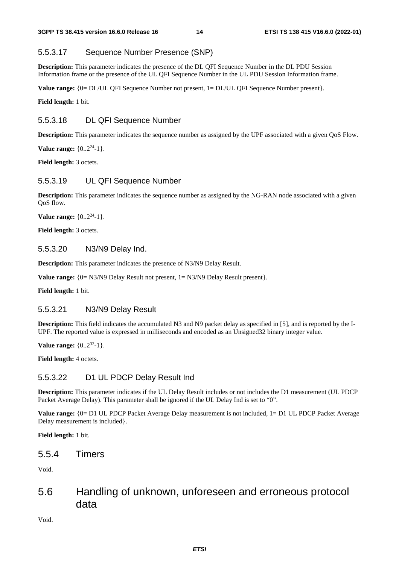## 5.5.3.17 Sequence Number Presence (SNP)

**Description:** This parameter indicates the presence of the DL QFI Sequence Number in the DL PDU Session Information frame or the presence of the UL QFI Sequence Number in the UL PDU Session Information frame.

**Value range:**  ${0 = DL/UL}$  QFI Sequence Number not present,  $1 = DL/UL$  QFI Sequence Number present}.

**Field length:** 1 bit.

## 5.5.3.18 DL QFI Sequence Number

**Description:** This parameter indicates the sequence number as assigned by the UPF associated with a given QoS Flow.

**Value range:**  $\{0..2^{24}-1\}$ .

**Field length:** 3 octets.

## 5.5.3.19 UL QFI Sequence Number

**Description:** This parameter indicates the sequence number as assigned by the NG-RAN node associated with a given QoS flow.

**Value range:**  $\{0..2^{24}-1\}$ .

Field length: 3 octets.

## 5.5.3.20 N3/N9 Delay Ind.

**Description:** This parameter indicates the presence of N3/N9 Delay Result.

**Value range:**  ${0 = N3/N9}$  Delay Result not present,  $1 = N3/N9$  Delay Result present.

**Field length:** 1 bit.

## 5.5.3.21 N3/N9 Delay Result

**Description:** This field indicates the accumulated N3 and N9 packet delay as specified in [5], and is reported by the I-UPF. The reported value is expressed in milliseconds and encoded as an Unsigned32 binary integer value.

**Value range:** {0..2<sup>32</sup>-1}.

**Field length:** 4 octets.

## 5.5.3.22 D1 UL PDCP Delay Result Ind

**Description:** This parameter indicates if the UL Delay Result includes or not includes the D1 measurement (UL PDCP Packet Average Delay). This parameter shall be ignored if the UL Delay Ind is set to "0".

**Value range:** {0= D1 UL PDCP Packet Average Delay measurement is not included, 1= D1 UL PDCP Packet Average Delay measurement is included}.

**Field length:** 1 bit.

## 5.5.4 Timers

Void.

## 5.6 Handling of unknown, unforeseen and erroneous protocol data

Void.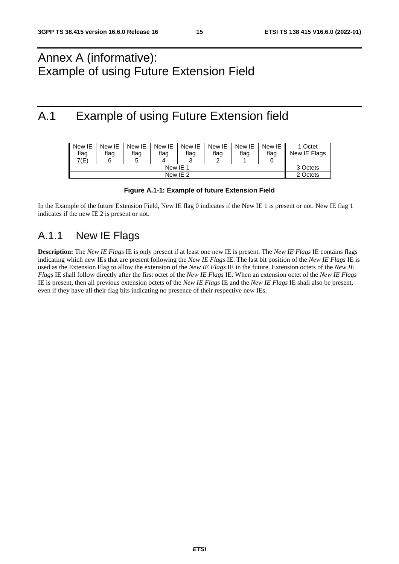## Annex A (informative): Example of using Future Extension Field

## A.1 Example of using Future Extension field

| New IE<br>flag<br>7(E) | New IE<br>flag<br>6 | New IE<br>flag<br>π | New IE<br>flag<br>Δ | New IE<br>flag<br>ີ | New IE<br>flag<br>◠ | New IE<br>flag | New IE<br>flag | 1 Octet<br>New IE Flags |
|------------------------|---------------------|---------------------|---------------------|---------------------|---------------------|----------------|----------------|-------------------------|
|                        | 3 Octets            |                     |                     |                     |                     |                |                |                         |
|                        | 2 Octets            |                     |                     |                     |                     |                |                |                         |

#### **Figure A.1-1: Example of future Extension Field**

In the Example of the future Extension Field, New IE flag 0 indicates if the New IE 1 is present or not. New IE flag 1 indicates if the new IE 2 is present or not.

## A.1.1 New IE Flags

**Description:** The *New IE Flags* IE is only present if at least one new IE is present. The *New IE Flags* IE contains flags indicating which new IEs that are present following the *New IE Flags* IE. The last bit position of the *New IE Flags* IE is used as the Extension Flag to allow the extension of the *New IE Flags* IE in the future. Extension octets of the *New IE Flags* IE shall follow directly after the first octet of the *New IE Flags* IE. When an extension octet of the *New IE Flags* IE is present, then all previous extension octets of the *New IE Flags* IE and the *New IE Flags* IE shall also be present, even if they have all their flag bits indicating no presence of their respective new IEs.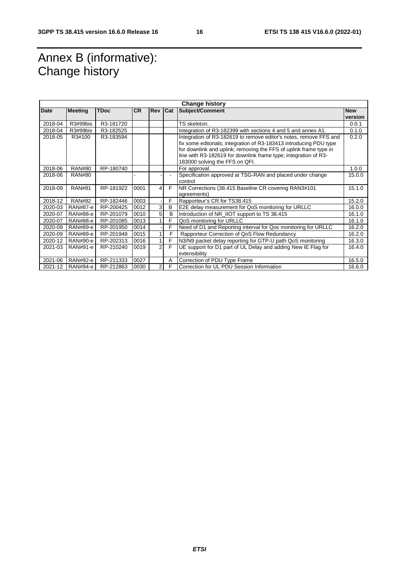## Annex B (informative): Change history

| <b>Change history</b> |                 |           |           |                |     |                                                                                                                                                                                                                                                                                                                   |                       |  |  |
|-----------------------|-----------------|-----------|-----------|----------------|-----|-------------------------------------------------------------------------------------------------------------------------------------------------------------------------------------------------------------------------------------------------------------------------------------------------------------------|-----------------------|--|--|
| <b>Date</b>           | <b>Meeting</b>  | TDoc      | <b>CR</b> | <b>Rev</b>     | Cat | <b>Subject/Comment</b>                                                                                                                                                                                                                                                                                            | <b>New</b><br>version |  |  |
| 2018-04               | R3#99bis        | R3-181720 |           |                |     | TS skeleton.                                                                                                                                                                                                                                                                                                      | 0.0.1                 |  |  |
| 2018-04               | R3#99bis        | R3-182525 |           |                |     | Integration of R3-182399 with sections 4 and 5 and annex A1.                                                                                                                                                                                                                                                      | 0.1.0                 |  |  |
| 2018-05               | R3#100          | R3-183594 |           |                |     | Integration of R3-182619 to remove editor's notes, remove FFS and<br>fix some editorials; integration of R3-183413 introducing PDU type<br>for downlink and uplink; removing the FFS of uplink frame type in<br>line with R3-182619 for downlink frame type; integration of R3-<br>183000 solving the FFS on QFI. | 0.2.0                 |  |  |
| 2018-06               | <b>RAN#80</b>   | RP-180740 |           |                |     | For approval.                                                                                                                                                                                                                                                                                                     | 1.0.0                 |  |  |
| 2018-06               | <b>RAN#80</b>   |           |           |                |     | Specification approved at TSG-RAN and placed under change<br>control                                                                                                                                                                                                                                              | 15.0.0                |  |  |
| 2018-09               | <b>RAN#81</b>   | RP-181922 | 0001      | 4              | F   | NR Corrections (38.415 Baseline CR covering RAN3#101<br>agreements)                                                                                                                                                                                                                                               | 15.1.0                |  |  |
| 2018-12               | <b>RAN#82</b>   | RP-182446 | 0003      |                | F   | Rapporteur's CR for TS38.415                                                                                                                                                                                                                                                                                      | 15.2.0                |  |  |
| 2020-03               | RAN#87-e        | RP-200425 | 0012      | 3              | B   | E2E delay measurement for QoS monitoring for URLLC                                                                                                                                                                                                                                                                | 16.0.0                |  |  |
| 2020-07               | RAN#88-e        | RP-201079 | 0010      | 5              | B   | Introduction of NR IIOT support to TS 38.415                                                                                                                                                                                                                                                                      | 16.1.0                |  |  |
| 2020-07               | RAN#88-e        | RP-201085 | 0013      |                | F   | QoS monitoring for URLLC                                                                                                                                                                                                                                                                                          | 16.1.0                |  |  |
| 2020-09               | <b>RAN#89-e</b> | RP-201950 | 0014      |                | F   | Need of D1 and Reporting interval for Qos monitoring for URLLC                                                                                                                                                                                                                                                    | 16.2.0                |  |  |
| 2020-09               | RAN#89-e        | RP-201948 | 0015      |                | F   | Rapporteur Correction of QoS Flow Redundancy                                                                                                                                                                                                                                                                      | 16.2.0                |  |  |
| 2020-12               | RAN#90-e        | RP-202313 | 0016      |                | F   | N3/N9 packet delay reporting for GTP-U path QoS monitoring                                                                                                                                                                                                                                                        | 16.3.0                |  |  |
| 2021-03               | RAN#91-e        | RP-210240 | 0019      | $\overline{2}$ | F   | UE support for D1 part of UL Delay and adding New IE Flag for<br>extensibility                                                                                                                                                                                                                                    | 16.4.0                |  |  |
| 2021-06               | RAN#92-e        | RP-211333 | 0027      |                | A   | Correction of PDU Type Frame                                                                                                                                                                                                                                                                                      | 16.5.0                |  |  |
| 2021-12               | RAN#94-e        | RP-212863 | 0030      | $\overline{2}$ | F   | Correction for UL PDU Session Information                                                                                                                                                                                                                                                                         | 16.6.0                |  |  |